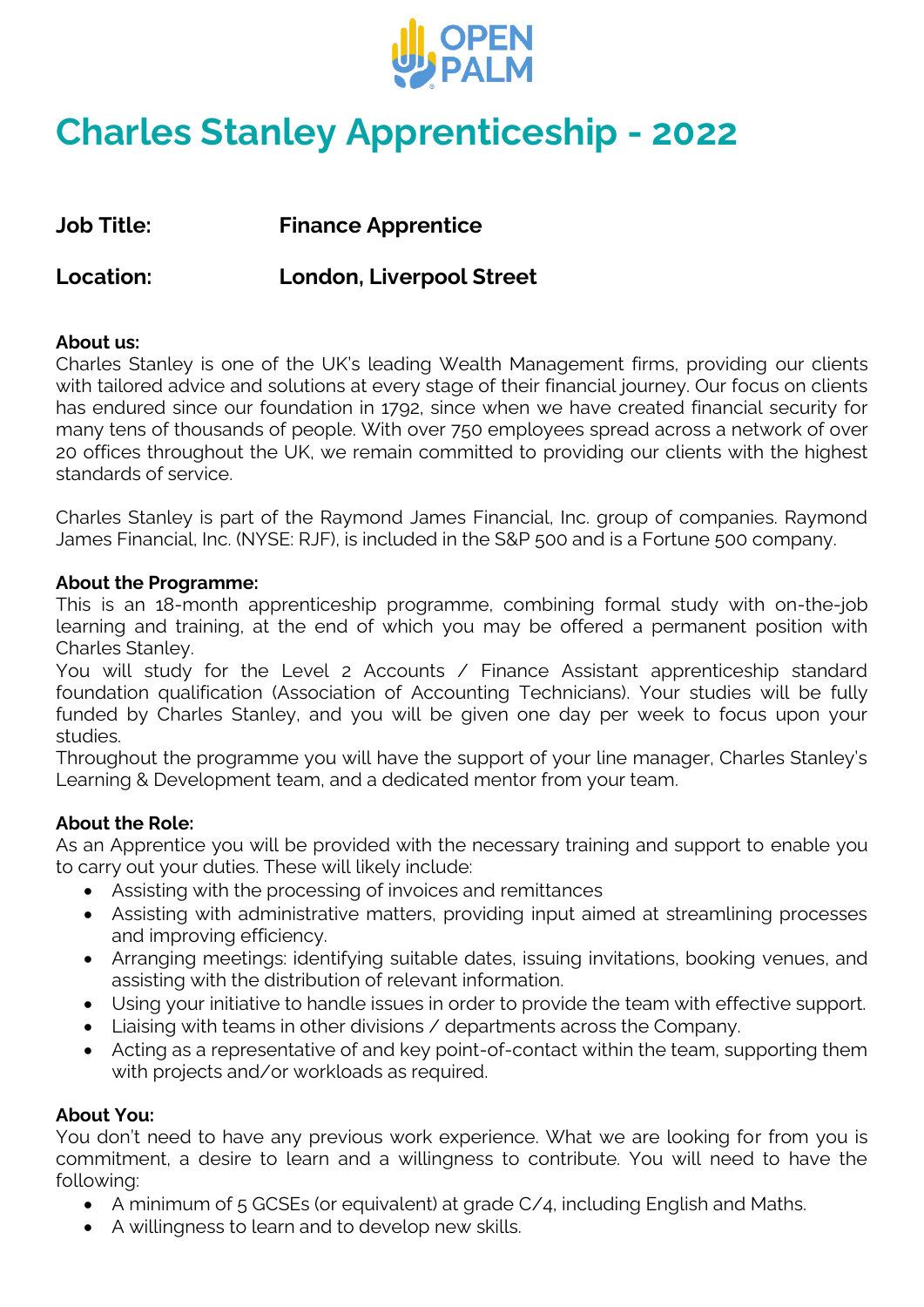

# **Charles Stanley Apprenticeship - 2022**

**Job Title: Finance Apprentice**

**Location: London, Liverpool Street**

#### **About us:**

Charles Stanley is one of the UK's leading Wealth Management firms, providing our clients with tailored advice and solutions at every stage of their financial journey. Our focus on clients has endured since our foundation in 1792, since when we have created financial security for many tens of thousands of people. With over 750 employees spread across a network of over 20 offices throughout the UK, we remain committed to providing our clients with the highest standards of service.

Charles Stanley is part of the Raymond James Financial, Inc. group of companies. Raymond James Financial, Inc. (NYSE: RJF), is included in the S&P 500 and is a Fortune 500 company.

#### **About the Programme:**

This is an 18-month apprenticeship programme, combining formal study with on-the-job learning and training, at the end of which you may be offered a permanent position with Charles Stanley.

You will study for the Level 2 Accounts / Finance Assistant apprenticeship standard foundation qualification (Association of Accounting Technicians). Your studies will be fully funded by Charles Stanley, and you will be given one day per week to focus upon your studies.

Throughout the programme you will have the support of your line manager, Charles Stanley's Learning & Development team, and a dedicated mentor from your team.

#### **About the Role:**

As an Apprentice you will be provided with the necessary training and support to enable you to carry out your duties. These will likely include:

- Assisting with the processing of invoices and remittances
- Assisting with administrative matters, providing input aimed at streamlining processes and improving efficiency.
- Arranging meetings: identifying suitable dates, issuing invitations, booking venues, and assisting with the distribution of relevant information.
- Using your initiative to handle issues in order to provide the team with effective support.
- Liaising with teams in other divisions / departments across the Company.
- Acting as a representative of and key point-of-contact within the team, supporting them with projects and/or workloads as required.

#### **About You:**

You don't need to have any previous work experience. What we are looking for from you is commitment, a desire to learn and a willingness to contribute. You will need to have the following:

- A minimum of 5 GCSEs (or equivalent) at grade C/4, including English and Maths.
- A willingness to learn and to develop new skills.